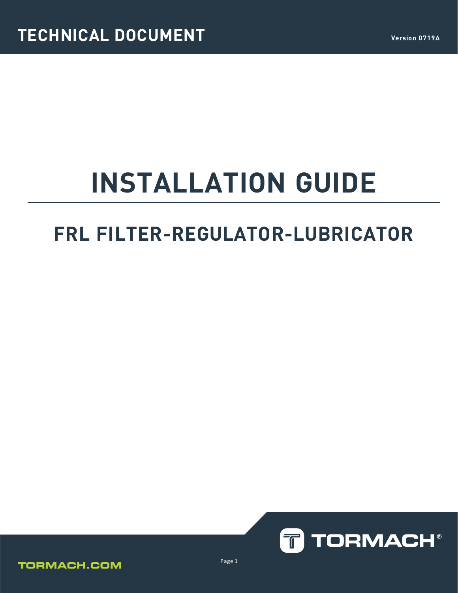# **INSTALLATION GUIDE**

# **FRL FILTER-REGULATOR-LUBRICATOR**



### **TORMACH.COM**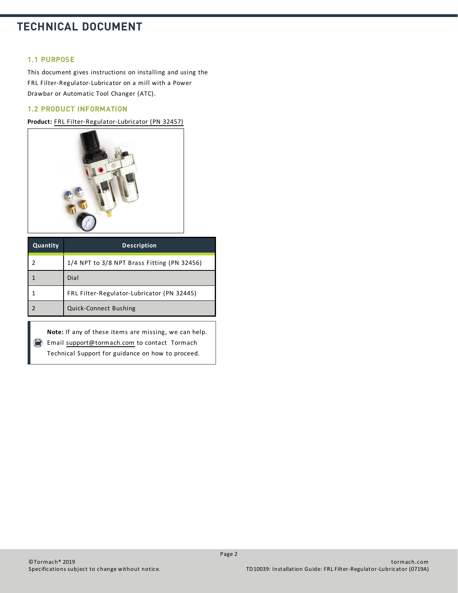# **TECHNICAL DOCUMENT**

#### **1.1 PURPOSE**

This document gives instructions on installing and using the FRL Filter-Regulator-Lubricator on a mill with a Power Drawbar or Automatic Tool Changer (ATC).

#### **1.2 PRODUCT INFORMATION**

#### **Product:** [FRL Filter-Regulator-Lubricator](https://www.tormach.com/part/32457) (PN 32457)



| <b>Description</b>                          |
|---------------------------------------------|
| 1/4 NPT to 3/8 NPT Brass Fitting (PN 32456) |
| Dial                                        |
| FRL Filter-Regulator-Lubricator (PN 32445)  |
| Quick-Connect Bushing                       |
|                                             |

**Note:** If any of these items are missing, we can help. Email [support@tormach.com](mailto:support@tormach.com) to contact Tormach

Technical Support for guidance on how to proceed.